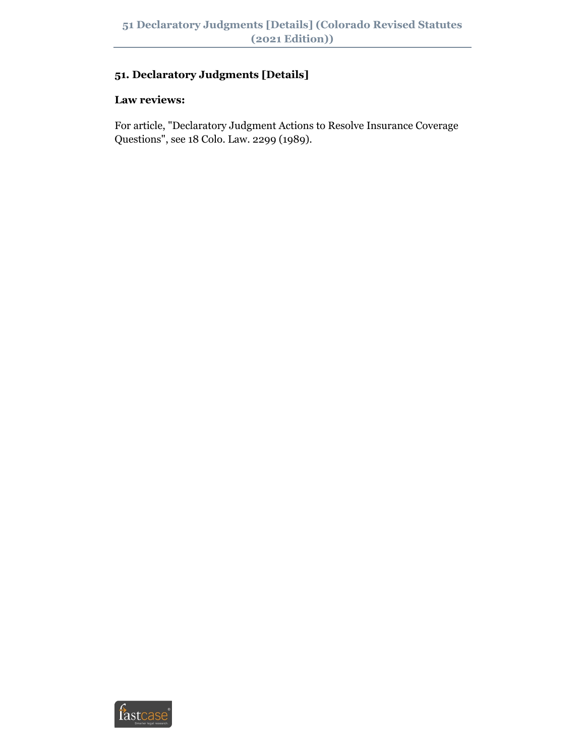# **51. Declaratory Judgments [Details]**

# **Law reviews:**

For article, "Declaratory Judgment Actions to Resolve Insurance Coverage Questions", see 18 Colo. Law. 2299 (1989).

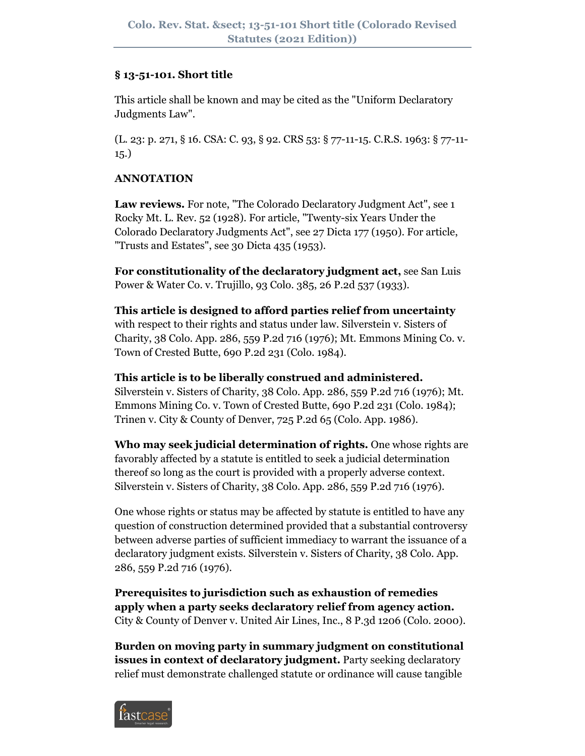## **§ 13-51-101. Short title**

This article shall be known and may be cited as the "Uniform Declaratory Judgments Law".

(L. 23: p. 271, § 16. CSA: C. 93, § 92. CRS 53: § 77-11-15. C.R.S. 1963: § 77-11- 15.)

## **ANNOTATION**

**Law reviews.** For note, "The Colorado Declaratory Judgment Act", see 1 Rocky Mt. L. Rev. 52 (1928). For article, "Twenty-six Years Under the Colorado Declaratory Judgments Act", see 27 Dicta 177 (1950). For article, "Trusts and Estates", see 30 Dicta 435 (1953).

**For constitutionality of the declaratory judgment act,** see San Luis Power & Water Co. v. Trujillo, 93 Colo. 385, 26 P.2d 537 (1933).

**This article is designed to afford parties relief from uncertainty** with respect to their rights and status under law. Silverstein v. Sisters of Charity, 38 Colo. App. 286, 559 P.2d 716 (1976); Mt. Emmons Mining Co. v. Town of Crested Butte, 690 P.2d 231 (Colo. 1984).

**This article is to be liberally construed and administered.** Silverstein v. Sisters of Charity, 38 Colo. App. 286, 559 P.2d 716 (1976); Mt. Emmons Mining Co. v. Town of Crested Butte, 690 P.2d 231 (Colo. 1984); Trinen v. City & County of Denver, 725 P.2d 65 (Colo. App. 1986).

**Who may seek judicial determination of rights.** One whose rights are favorably affected by a statute is entitled to seek a judicial determination thereof so long as the court is provided with a properly adverse context. Silverstein v. Sisters of Charity, 38 Colo. App. 286, 559 P.2d 716 (1976).

One whose rights or status may be affected by statute is entitled to have any question of construction determined provided that a substantial controversy between adverse parties of sufficient immediacy to warrant the issuance of a declaratory judgment exists. Silverstein v. Sisters of Charity, 38 Colo. App. 286, 559 P.2d 716 (1976).

**Prerequisites to jurisdiction such as exhaustion of remedies apply when a party seeks declaratory relief from agency action.** City & County of Denver v. United Air Lines, Inc., 8 P.3d 1206 (Colo. 2000).

**Burden on moving party in summary judgment on constitutional issues in context of declaratory judgment.** Party seeking declaratory relief must demonstrate challenged statute or ordinance will cause tangible

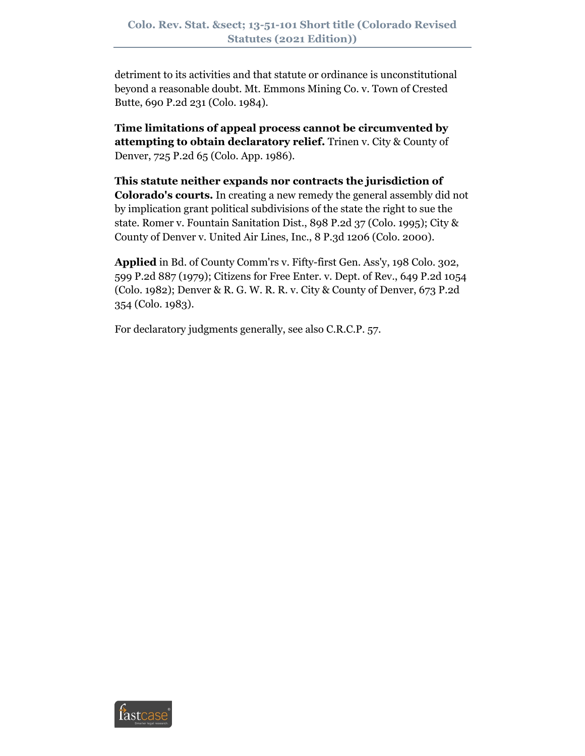detriment to its activities and that statute or ordinance is unconstitutional beyond a reasonable doubt. Mt. Emmons Mining Co. v. Town of Crested Butte, 690 P.2d 231 (Colo. 1984).

**Time limitations of appeal process cannot be circumvented by attempting to obtain declaratory relief.** Trinen v. City & County of Denver, 725 P.2d 65 (Colo. App. 1986).

**This statute neither expands nor contracts the jurisdiction of Colorado's courts.** In creating a new remedy the general assembly did not by implication grant political subdivisions of the state the right to sue the state. Romer v. Fountain Sanitation Dist., 898 P.2d 37 (Colo. 1995); City & County of Denver v. United Air Lines, Inc., 8 P.3d 1206 (Colo. 2000).

**Applied** in Bd. of County Comm'rs v. Fifty-first Gen. Ass'y, 198 Colo. 302, 599 P.2d 887 (1979); Citizens for Free Enter. v. Dept. of Rev., 649 P.2d 1054 (Colo. 1982); Denver & R. G. W. R. R. v. City & County of Denver, 673 P.2d 354 (Colo. 1983).

For declaratory judgments generally, see also C.R.C.P. 57.

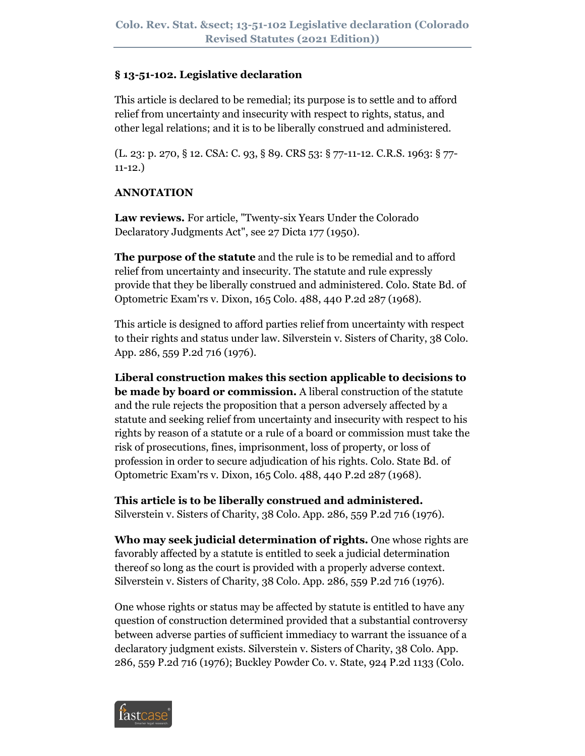## **§ 13-51-102. Legislative declaration**

This article is declared to be remedial; its purpose is to settle and to afford relief from uncertainty and insecurity with respect to rights, status, and other legal relations; and it is to be liberally construed and administered.

(L. 23: p. 270, § 12. CSA: C. 93, § 89. CRS 53: § 77-11-12. C.R.S. 1963: § 77- 11-12.)

# **ANNOTATION**

**Law reviews.** For article, "Twenty-six Years Under the Colorado Declaratory Judgments Act", see 27 Dicta 177 (1950).

**The purpose of the statute** and the rule is to be remedial and to afford relief from uncertainty and insecurity. The statute and rule expressly provide that they be liberally construed and administered. Colo. State Bd. of Optometric Exam'rs v. Dixon, 165 Colo. 488, 440 P.2d 287 (1968).

This article is designed to afford parties relief from uncertainty with respect to their rights and status under law. Silverstein v. Sisters of Charity, 38 Colo. App. 286, 559 P.2d 716 (1976).

**Liberal construction makes this section applicable to decisions to be made by board or commission.** A liberal construction of the statute and the rule rejects the proposition that a person adversely affected by a statute and seeking relief from uncertainty and insecurity with respect to his rights by reason of a statute or a rule of a board or commission must take the risk of prosecutions, fines, imprisonment, loss of property, or loss of profession in order to secure adjudication of his rights. Colo. State Bd. of Optometric Exam'rs v. Dixon, 165 Colo. 488, 440 P.2d 287 (1968).

**This article is to be liberally construed and administered.** Silverstein v. Sisters of Charity, 38 Colo. App. 286, 559 P.2d 716 (1976).

**Who may seek judicial determination of rights.** One whose rights are favorably affected by a statute is entitled to seek a judicial determination thereof so long as the court is provided with a properly adverse context. Silverstein v. Sisters of Charity, 38 Colo. App. 286, 559 P.2d 716 (1976).

One whose rights or status may be affected by statute is entitled to have any question of construction determined provided that a substantial controversy between adverse parties of sufficient immediacy to warrant the issuance of a declaratory judgment exists. Silverstein v. Sisters of Charity, 38 Colo. App. 286, 559 P.2d 716 (1976); Buckley Powder Co. v. State, 924 P.2d 1133 (Colo.

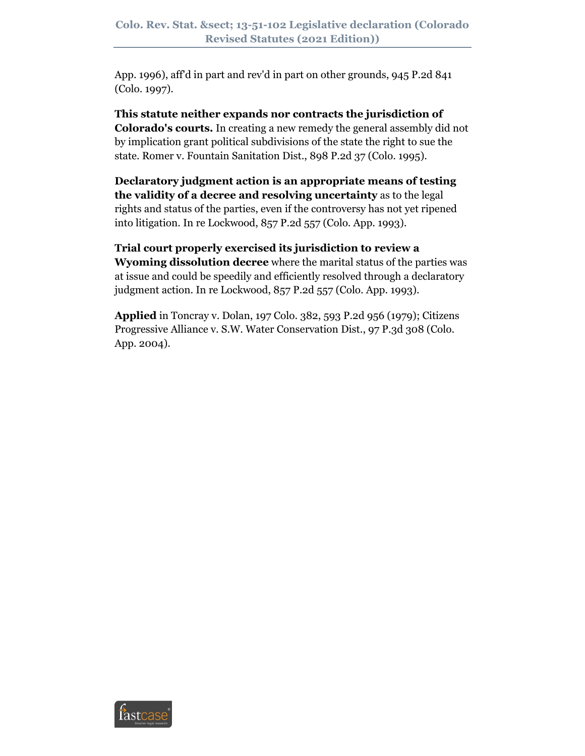App. 1996), aff'd in part and rev'd in part on other grounds, 945 P.2d 841 (Colo. 1997).

**This statute neither expands nor contracts the jurisdiction of Colorado's courts.** In creating a new remedy the general assembly did not by implication grant political subdivisions of the state the right to sue the state. Romer v. Fountain Sanitation Dist., 898 P.2d 37 (Colo. 1995).

**Declaratory judgment action is an appropriate means of testing the validity of a decree and resolving uncertainty** as to the legal rights and status of the parties, even if the controversy has not yet ripened into litigation. In re Lockwood, 857 P.2d 557 (Colo. App. 1993).

**Trial court properly exercised its jurisdiction to review a Wyoming dissolution decree** where the marital status of the parties was at issue and could be speedily and efficiently resolved through a declaratory judgment action. In re Lockwood, 857 P.2d 557 (Colo. App. 1993).

**Applied** in Toncray v. Dolan, 197 Colo. 382, 593 P.2d 956 (1979); Citizens Progressive Alliance v. S.W. Water Conservation Dist., 97 P.3d 308 (Colo. App. 2004).

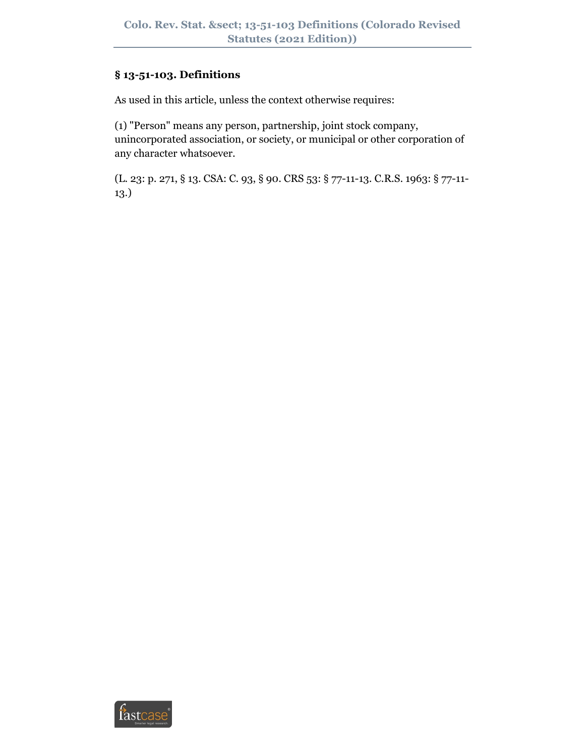# **§ 13-51-103. Definitions**

As used in this article, unless the context otherwise requires:

(1) "Person" means any person, partnership, joint stock company, unincorporated association, or society, or municipal or other corporation of any character whatsoever.

(L. 23: p. 271, § 13. CSA: C. 93, § 90. CRS 53: § 77-11-13. C.R.S. 1963: § 77-11- 13.)

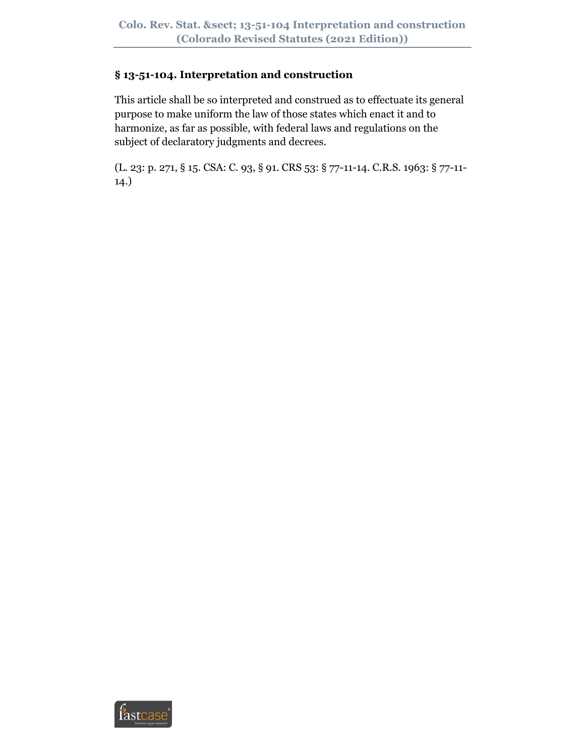# **§ 13-51-104. Interpretation and construction**

This article shall be so interpreted and construed as to effectuate its general purpose to make uniform the law of those states which enact it and to harmonize, as far as possible, with federal laws and regulations on the subject of declaratory judgments and decrees.

(L. 23: p. 271, § 15. CSA: C. 93, § 91. CRS 53: § 77-11-14. C.R.S. 1963: § 77-11- 14.)

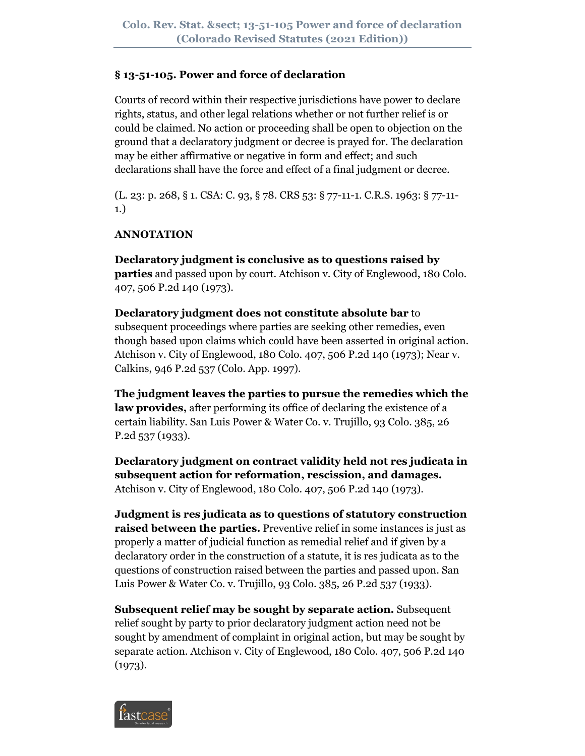## **§ 13-51-105. Power and force of declaration**

Courts of record within their respective jurisdictions have power to declare rights, status, and other legal relations whether or not further relief is or could be claimed. No action or proceeding shall be open to objection on the ground that a declaratory judgment or decree is prayed for. The declaration may be either affirmative or negative in form and effect; and such declarations shall have the force and effect of a final judgment or decree.

(L. 23: p. 268, § 1. CSA: C. 93, § 78. CRS 53: § 77-11-1. C.R.S. 1963: § 77-11- 1.)

# **ANNOTATION**

**Declaratory judgment is conclusive as to questions raised by parties** and passed upon by court. Atchison v. City of Englewood, 180 Colo. 407, 506 P.2d 140 (1973).

**Declaratory judgment does not constitute absolute bar** to subsequent proceedings where parties are seeking other remedies, even though based upon claims which could have been asserted in original action. Atchison v. City of Englewood, 180 Colo. 407, 506 P.2d 140 (1973); Near v. Calkins, 946 P.2d 537 (Colo. App. 1997).

**The judgment leaves the parties to pursue the remedies which the law provides,** after performing its office of declaring the existence of a certain liability. San Luis Power & Water Co. v. Trujillo, 93 Colo. 385, 26 P.2d 537 (1933).

**Declaratory judgment on contract validity held not res judicata in subsequent action for reformation, rescission, and damages.** Atchison v. City of Englewood, 180 Colo. 407, 506 P.2d 140 (1973).

**Judgment is res judicata as to questions of statutory construction raised between the parties.** Preventive relief in some instances is just as properly a matter of judicial function as remedial relief and if given by a declaratory order in the construction of a statute, it is res judicata as to the questions of construction raised between the parties and passed upon. San Luis Power & Water Co. v. Trujillo, 93 Colo. 385, 26 P.2d 537 (1933).

**Subsequent relief may be sought by separate action.** Subsequent relief sought by party to prior declaratory judgment action need not be sought by amendment of complaint in original action, but may be sought by separate action. Atchison v. City of Englewood, 180 Colo. 407, 506 P.2d 140 (1973).

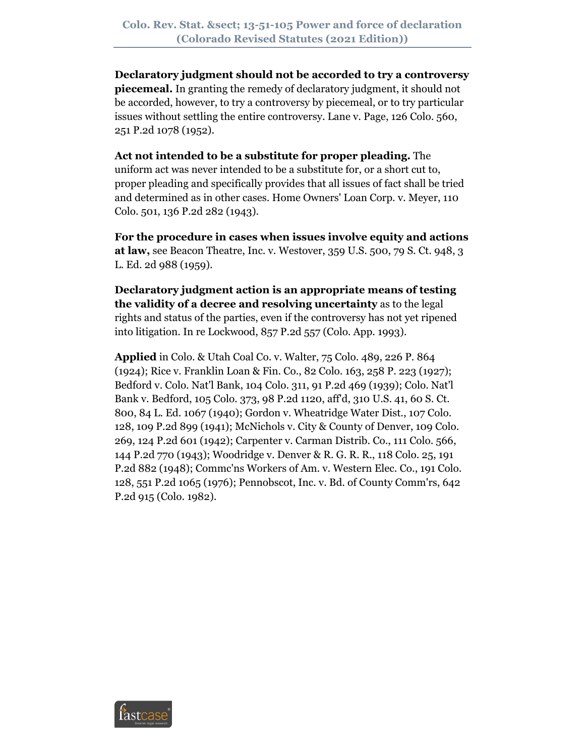**Declaratory judgment should not be accorded to try a controversy piecemeal.** In granting the remedy of declaratory judgment, it should not be accorded, however, to try a controversy by piecemeal, or to try particular issues without settling the entire controversy. Lane v. Page, 126 Colo. 560, 251 P.2d 1078 (1952).

**Act not intended to be a substitute for proper pleading.** The uniform act was never intended to be a substitute for, or a short cut to, proper pleading and specifically provides that all issues of fact shall be tried and determined as in other cases. Home Owners' Loan Corp. v. Meyer, 110 Colo. 501, 136 P.2d 282 (1943).

**For the procedure in cases when issues involve equity and actions at law,** see Beacon Theatre, Inc. v. Westover, 359 U.S. 500, 79 S. Ct. 948, 3 L. Ed. 2d 988 (1959).

**Declaratory judgment action is an appropriate means of testing the validity of a decree and resolving uncertainty** as to the legal rights and status of the parties, even if the controversy has not yet ripened into litigation. In re Lockwood, 857 P.2d 557 (Colo. App. 1993).

**Applied** in Colo. & Utah Coal Co. v. Walter, 75 Colo. 489, 226 P. 864 (1924); Rice v. Franklin Loan & Fin. Co., 82 Colo. 163, 258 P. 223 (1927); Bedford v. Colo. Nat'l Bank, 104 Colo. 311, 91 P.2d 469 (1939); Colo. Nat'l Bank v. Bedford, 105 Colo. 373, 98 P.2d 1120, aff'd, 310 U.S. 41, 60 S. Ct. 800, 84 L. Ed. 1067 (1940); Gordon v. Wheatridge Water Dist., 107 Colo. 128, 109 P.2d 899 (1941); McNichols v. City & County of Denver, 109 Colo. 269, 124 P.2d 601 (1942); Carpenter v. Carman Distrib. Co., 111 Colo. 566, 144 P.2d 770 (1943); Woodridge v. Denver & R. G. R. R., 118 Colo. 25, 191 P.2d 882 (1948); Commc'ns Workers of Am. v. Western Elec. Co., 191 Colo. 128, 551 P.2d 1065 (1976); Pennobscot, Inc. v. Bd. of County Comm'rs, 642 P.2d 915 (Colo. 1982).

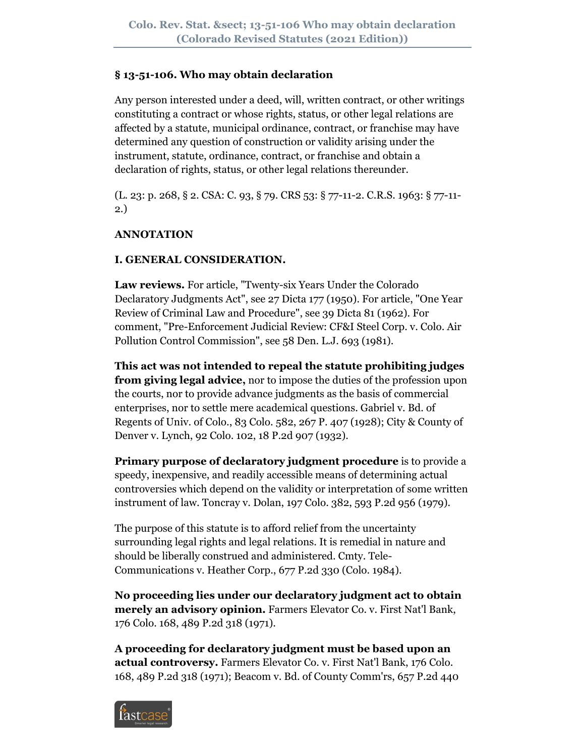#### **§ 13-51-106. Who may obtain declaration**

Any person interested under a deed, will, written contract, or other writings constituting a contract or whose rights, status, or other legal relations are affected by a statute, municipal ordinance, contract, or franchise may have determined any question of construction or validity arising under the instrument, statute, ordinance, contract, or franchise and obtain a declaration of rights, status, or other legal relations thereunder.

(L. 23: p. 268, § 2. CSA: C. 93, § 79. CRS 53: § 77-11-2. C.R.S. 1963: § 77-11- 2.)

#### **ANNOTATION**

## **I. GENERAL CONSIDERATION.**

**Law reviews.** For article, "Twenty-six Years Under the Colorado Declaratory Judgments Act", see 27 Dicta 177 (1950). For article, "One Year Review of Criminal Law and Procedure", see 39 Dicta 81 (1962). For comment, "Pre-Enforcement Judicial Review: CF&I Steel Corp. v. Colo. Air Pollution Control Commission", see 58 Den. L.J. 693 (1981).

**This act was not intended to repeal the statute prohibiting judges from giving legal advice,** nor to impose the duties of the profession upon the courts, nor to provide advance judgments as the basis of commercial enterprises, nor to settle mere academical questions. Gabriel v. Bd. of Regents of Univ. of Colo., 83 Colo. 582, 267 P. 407 (1928); City & County of Denver v. Lynch, 92 Colo. 102, 18 P.2d 907 (1932).

**Primary purpose of declaratory judgment procedure** is to provide a speedy, inexpensive, and readily accessible means of determining actual controversies which depend on the validity or interpretation of some written instrument of law. Toncray v. Dolan, 197 Colo. 382, 593 P.2d 956 (1979).

The purpose of this statute is to afford relief from the uncertainty surrounding legal rights and legal relations. It is remedial in nature and should be liberally construed and administered. Cmty. Tele-Communications v. Heather Corp., 677 P.2d 330 (Colo. 1984).

**No proceeding lies under our declaratory judgment act to obtain merely an advisory opinion.** Farmers Elevator Co. v. First Nat'l Bank, 176 Colo. 168, 489 P.2d 318 (1971).

**A proceeding for declaratory judgment must be based upon an actual controversy.** Farmers Elevator Co. v. First Nat'l Bank, 176 Colo. 168, 489 P.2d 318 (1971); Beacom v. Bd. of County Comm'rs, 657 P.2d 440

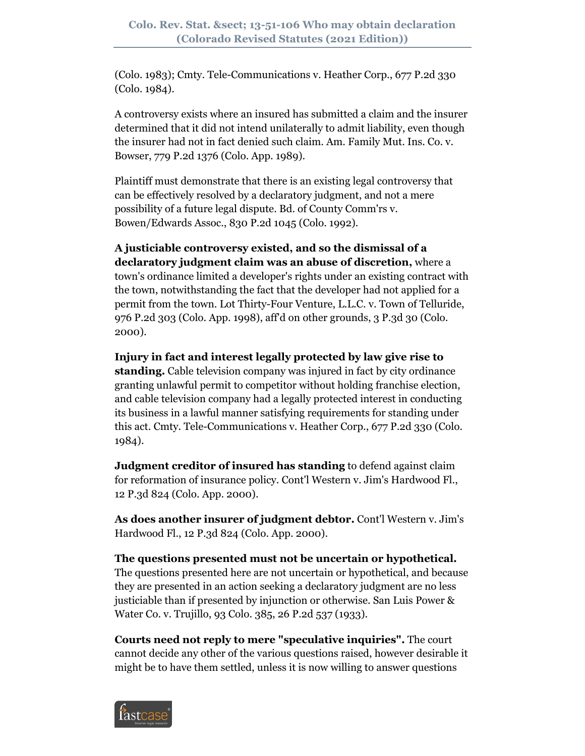(Colo. 1983); Cmty. Tele-Communications v. Heather Corp., 677 P.2d 330 (Colo. 1984).

A controversy exists where an insured has submitted a claim and the insurer determined that it did not intend unilaterally to admit liability, even though the insurer had not in fact denied such claim. Am. Family Mut. Ins. Co. v. Bowser, 779 P.2d 1376 (Colo. App. 1989).

Plaintiff must demonstrate that there is an existing legal controversy that can be effectively resolved by a declaratory judgment, and not a mere possibility of a future legal dispute. Bd. of County Comm'rs v. Bowen/Edwards Assoc., 830 P.2d 1045 (Colo. 1992).

**A justiciable controversy existed, and so the dismissal of a declaratory judgment claim was an abuse of discretion,** where a town's ordinance limited a developer's rights under an existing contract with the town, notwithstanding the fact that the developer had not applied for a permit from the town. Lot Thirty-Four Venture, L.L.C. v. Town of Telluride, 976 P.2d 303 (Colo. App. 1998), aff'd on other grounds, 3 P.3d 30 (Colo. 2000).

**Injury in fact and interest legally protected by law give rise to standing.** Cable television company was injured in fact by city ordinance granting unlawful permit to competitor without holding franchise election, and cable television company had a legally protected interest in conducting its business in a lawful manner satisfying requirements for standing under this act. Cmty. Tele-Communications v. Heather Corp., 677 P.2d 330 (Colo. 1984).

**Judgment creditor of insured has standing** to defend against claim for reformation of insurance policy. Cont'l Western v. Jim's Hardwood Fl., 12 P.3d 824 (Colo. App. 2000).

**As does another insurer of judgment debtor.** Cont'l Western v. Jim's Hardwood Fl., 12 P.3d 824 (Colo. App. 2000).

**The questions presented must not be uncertain or hypothetical.** The questions presented here are not uncertain or hypothetical, and because

they are presented in an action seeking a declaratory judgment are no less justiciable than if presented by injunction or otherwise. San Luis Power & Water Co. v. Trujillo, 93 Colo. 385, 26 P.2d 537 (1933).

**Courts need not reply to mere "speculative inquiries".** The court cannot decide any other of the various questions raised, however desirable it might be to have them settled, unless it is now willing to answer questions

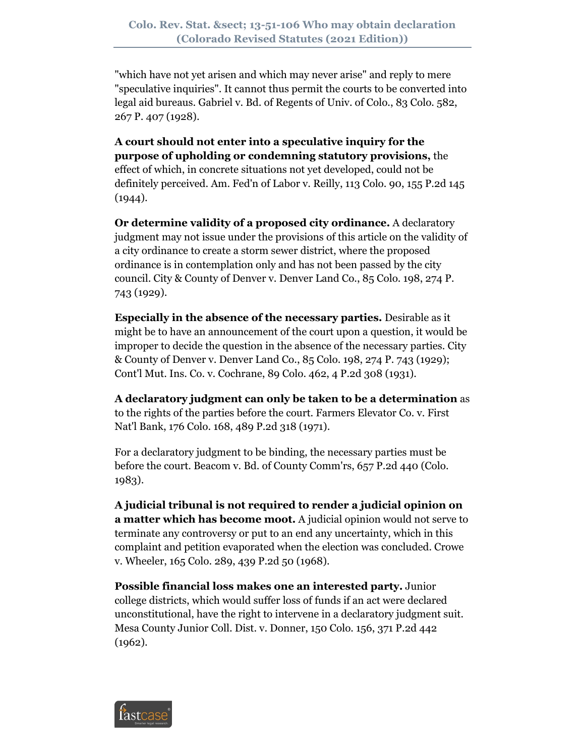"which have not yet arisen and which may never arise" and reply to mere "speculative inquiries". It cannot thus permit the courts to be converted into legal aid bureaus. Gabriel v. Bd. of Regents of Univ. of Colo., 83 Colo. 582, 267 P. 407 (1928).

**A court should not enter into a speculative inquiry for the purpose of upholding or condemning statutory provisions,** the effect of which, in concrete situations not yet developed, could not be definitely perceived. Am. Fed'n of Labor v. Reilly, 113 Colo. 90, 155 P.2d 145  $(1944).$ 

**Or determine validity of a proposed city ordinance.** A declaratory judgment may not issue under the provisions of this article on the validity of a city ordinance to create a storm sewer district, where the proposed ordinance is in contemplation only and has not been passed by the city council. City & County of Denver v. Denver Land Co., 85 Colo. 198, 274 P. 743 (1929).

**Especially in the absence of the necessary parties.** Desirable as it might be to have an announcement of the court upon a question, it would be improper to decide the question in the absence of the necessary parties. City & County of Denver v. Denver Land Co., 85 Colo. 198, 274 P. 743 (1929); Cont'l Mut. Ins. Co. v. Cochrane, 89 Colo. 462, 4 P.2d 308 (1931).

**A declaratory judgment can only be taken to be a determination** as to the rights of the parties before the court. Farmers Elevator Co. v. First Nat'l Bank, 176 Colo. 168, 489 P.2d 318 (1971).

For a declaratory judgment to be binding, the necessary parties must be before the court. Beacom v. Bd. of County Comm'rs, 657 P.2d 440 (Colo. 1983).

**A judicial tribunal is not required to render a judicial opinion on a matter which has become moot.** A judicial opinion would not serve to terminate any controversy or put to an end any uncertainty, which in this complaint and petition evaporated when the election was concluded. Crowe v. Wheeler, 165 Colo. 289, 439 P.2d 50 (1968).

**Possible financial loss makes one an interested party.** Junior college districts, which would suffer loss of funds if an act were declared unconstitutional, have the right to intervene in a declaratory judgment suit. Mesa County Junior Coll. Dist. v. Donner, 150 Colo. 156, 371 P.2d 442 (1962).

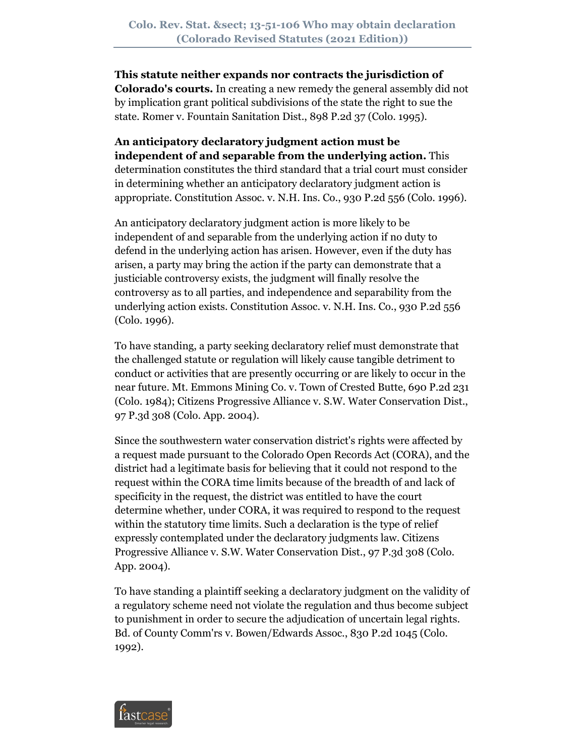**This statute neither expands nor contracts the jurisdiction of Colorado's courts.** In creating a new remedy the general assembly did not by implication grant political subdivisions of the state the right to sue the state. Romer v. Fountain Sanitation Dist., 898 P.2d 37 (Colo. 1995).

**An anticipatory declaratory judgment action must be independent of and separable from the underlying action.** This determination constitutes the third standard that a trial court must consider in determining whether an anticipatory declaratory judgment action is appropriate. Constitution Assoc. v. N.H. Ins. Co., 930 P.2d 556 (Colo. 1996).

An anticipatory declaratory judgment action is more likely to be independent of and separable from the underlying action if no duty to defend in the underlying action has arisen. However, even if the duty has arisen, a party may bring the action if the party can demonstrate that a justiciable controversy exists, the judgment will finally resolve the controversy as to all parties, and independence and separability from the underlying action exists. Constitution Assoc. v. N.H. Ins. Co., 930 P.2d 556 (Colo. 1996).

To have standing, a party seeking declaratory relief must demonstrate that the challenged statute or regulation will likely cause tangible detriment to conduct or activities that are presently occurring or are likely to occur in the near future. Mt. Emmons Mining Co. v. Town of Crested Butte, 690 P.2d 231 (Colo. 1984); Citizens Progressive Alliance v. S.W. Water Conservation Dist., 97 P.3d 308 (Colo. App. 2004).

Since the southwestern water conservation district's rights were affected by a request made pursuant to the Colorado Open Records Act (CORA), and the district had a legitimate basis for believing that it could not respond to the request within the CORA time limits because of the breadth of and lack of specificity in the request, the district was entitled to have the court determine whether, under CORA, it was required to respond to the request within the statutory time limits. Such a declaration is the type of relief expressly contemplated under the declaratory judgments law. Citizens Progressive Alliance v. S.W. Water Conservation Dist., 97 P.3d 308 (Colo. App. 2004).

To have standing a plaintiff seeking a declaratory judgment on the validity of a regulatory scheme need not violate the regulation and thus become subject to punishment in order to secure the adjudication of uncertain legal rights. Bd. of County Comm'rs v. Bowen/Edwards Assoc., 830 P.2d 1045 (Colo. 1992).

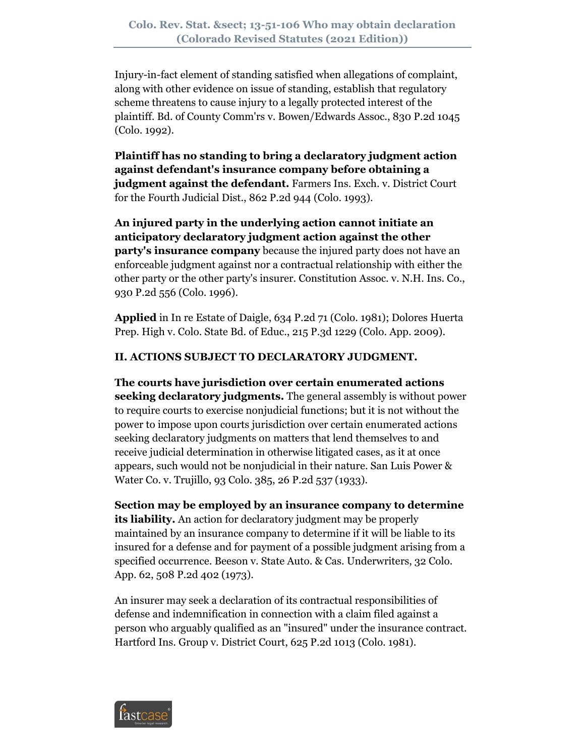Injury-in-fact element of standing satisfied when allegations of complaint, along with other evidence on issue of standing, establish that regulatory scheme threatens to cause injury to a legally protected interest of the plaintiff. Bd. of County Comm'rs v. Bowen/Edwards Assoc., 830 P.2d 1045 (Colo. 1992).

**Plaintiff has no standing to bring a declaratory judgment action against defendant's insurance company before obtaining a judgment against the defendant.** Farmers Ins. Exch. v. District Court for the Fourth Judicial Dist., 862 P.2d 944 (Colo. 1993).

**An injured party in the underlying action cannot initiate an anticipatory declaratory judgment action against the other party's insurance company** because the injured party does not have an enforceable judgment against nor a contractual relationship with either the other party or the other party's insurer. Constitution Assoc. v. N.H. Ins. Co., 930 P.2d 556 (Colo. 1996).

**Applied** in In re Estate of Daigle, 634 P.2d 71 (Colo. 1981); Dolores Huerta Prep. High v. Colo. State Bd. of Educ., 215 P.3d 1229 (Colo. App. 2009).

# **II. ACTIONS SUBJECT TO DECLARATORY JUDGMENT.**

**The courts have jurisdiction over certain enumerated actions seeking declaratory judgments.** The general assembly is without power to require courts to exercise nonjudicial functions; but it is not without the power to impose upon courts jurisdiction over certain enumerated actions seeking declaratory judgments on matters that lend themselves to and receive judicial determination in otherwise litigated cases, as it at once appears, such would not be nonjudicial in their nature. San Luis Power & Water Co. v. Trujillo, 93 Colo. 385, 26 P.2d 537 (1933).

**Section may be employed by an insurance company to determine**  its liability. An action for declaratory judgment may be properly maintained by an insurance company to determine if it will be liable to its insured for a defense and for payment of a possible judgment arising from a specified occurrence. Beeson v. State Auto. & Cas. Underwriters, 32 Colo. App. 62, 508 P.2d 402 (1973).

An insurer may seek a declaration of its contractual responsibilities of defense and indemnification in connection with a claim filed against a person who arguably qualified as an "insured" under the insurance contract. Hartford Ins. Group v. District Court, 625 P.2d 1013 (Colo. 1981).

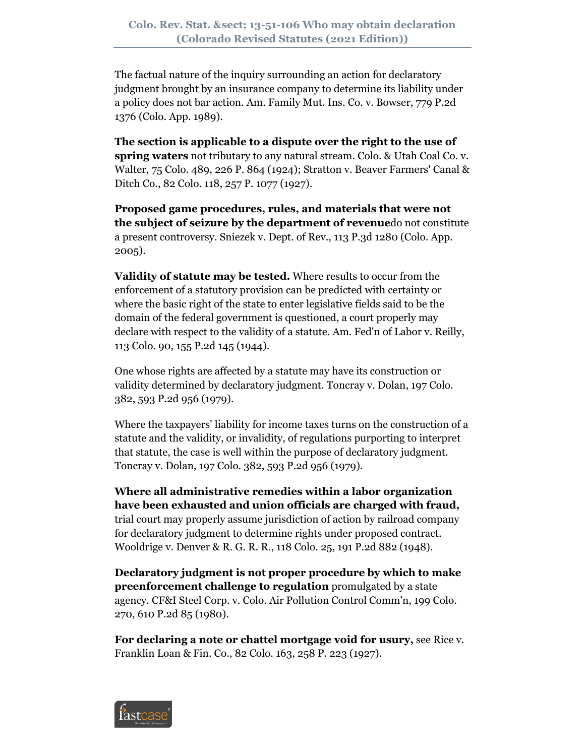The factual nature of the inquiry surrounding an action for declaratory judgment brought by an insurance company to determine its liability under a policy does not bar action. Am. Family Mut. Ins. Co. v. Bowser, 779 P.2d 1376 (Colo. App. 1989).

**The section is applicable to a dispute over the right to the use of spring waters** not tributary to any natural stream. Colo. & Utah Coal Co. v. Walter, 75 Colo. 489, 226 P. 864 (1924); Stratton v. Beaver Farmers' Canal & Ditch Co., 82 Colo. 118, 257 P. 1077 (1927).

**Proposed game procedures, rules, and materials that were not the subject of seizure by the department of revenue**do not constitute a present controversy. Sniezek v. Dept. of Rev., 113 P.3d 1280 (Colo. App. 2005).

**Validity of statute may be tested.** Where results to occur from the enforcement of a statutory provision can be predicted with certainty or where the basic right of the state to enter legislative fields said to be the domain of the federal government is questioned, a court properly may declare with respect to the validity of a statute. Am. Fed'n of Labor v. Reilly, 113 Colo. 90, 155 P.2d 145 (1944).

One whose rights are affected by a statute may have its construction or validity determined by declaratory judgment. Toncray v. Dolan, 197 Colo. 382, 593 P.2d 956 (1979).

Where the taxpayers' liability for income taxes turns on the construction of a statute and the validity, or invalidity, of regulations purporting to interpret that statute, the case is well within the purpose of declaratory judgment. Toncray v. Dolan, 197 Colo. 382, 593 P.2d 956 (1979).

**Where all administrative remedies within a labor organization have been exhausted and union officials are charged with fraud,** trial court may properly assume jurisdiction of action by railroad company for declaratory judgment to determine rights under proposed contract. Wooldrige v. Denver & R. G. R. R., 118 Colo. 25, 191 P.2d 882 (1948).

**Declaratory judgment is not proper procedure by which to make preenforcement challenge to regulation** promulgated by a state agency. CF&I Steel Corp. v. Colo. Air Pollution Control Comm'n, 199 Colo. 270, 610 P.2d 85 (1980).

**For declaring a note or chattel mortgage void for usury,** see Rice v. Franklin Loan & Fin. Co., 82 Colo. 163, 258 P. 223 (1927).

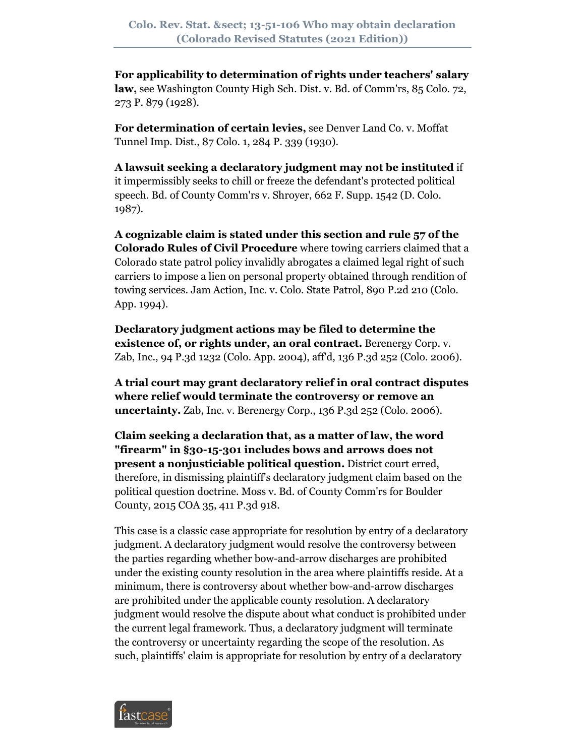**For applicability to determination of rights under teachers' salary law,** see Washington County High Sch. Dist. v. Bd. of Comm'rs, 85 Colo. 72, 273 P. 879 (1928).

**For determination of certain levies,** see Denver Land Co. v. Moffat Tunnel Imp. Dist., 87 Colo. 1, 284 P. 339 (1930).

**A lawsuit seeking a declaratory judgment may not be instituted** if it impermissibly seeks to chill or freeze the defendant's protected political speech. Bd. of County Comm'rs v. Shroyer, 662 F. Supp. 1542 (D. Colo. 1987).

**A cognizable claim is stated under this section and rule 57 of the Colorado Rules of Civil Procedure** where towing carriers claimed that a Colorado state patrol policy invalidly abrogates a claimed legal right of such carriers to impose a lien on personal property obtained through rendition of towing services. Jam Action, Inc. v. Colo. State Patrol, 890 P.2d 210 (Colo. App. 1994).

**Declaratory judgment actions may be filed to determine the existence of, or rights under, an oral contract.** Berenergy Corp. v. Zab, Inc., 94 P.3d 1232 (Colo. App. 2004), aff'd, 136 P.3d 252 (Colo. 2006).

**A trial court may grant declaratory relief in oral contract disputes where relief would terminate the controversy or remove an uncertainty.** Zab, Inc. v. Berenergy Corp., 136 P.3d 252 (Colo. 2006).

**Claim seeking a declaration that, as a matter of law, the word "firearm" in §30-15-301 includes bows and arrows does not present a nonjusticiable political question.** District court erred, therefore, in dismissing plaintiff's declaratory judgment claim based on the political question doctrine. Moss v. Bd. of County Comm'rs for Boulder County, 2015 COA 35, 411 P.3d 918.

This case is a classic case appropriate for resolution by entry of a declaratory judgment. A declaratory judgment would resolve the controversy between the parties regarding whether bow-and-arrow discharges are prohibited under the existing county resolution in the area where plaintiffs reside. At a minimum, there is controversy about whether bow-and-arrow discharges are prohibited under the applicable county resolution. A declaratory judgment would resolve the dispute about what conduct is prohibited under the current legal framework. Thus, a declaratory judgment will terminate the controversy or uncertainty regarding the scope of the resolution. As such, plaintiffs' claim is appropriate for resolution by entry of a declaratory

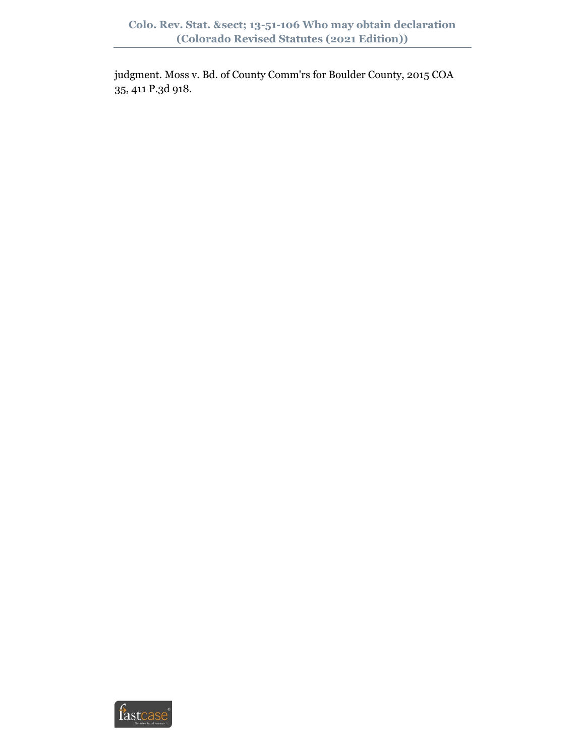judgment. Moss v. Bd. of County Comm'rs for Boulder County, 2015 COA 35, 411 P.3d 918.

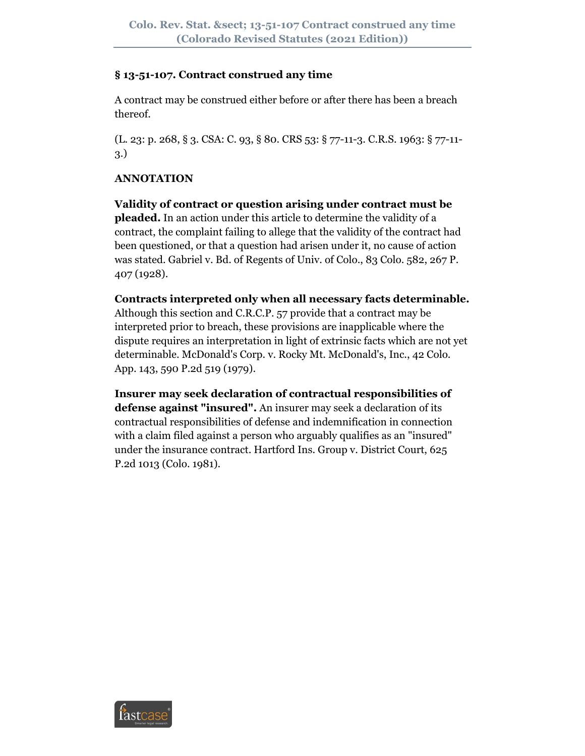#### **§ 13-51-107. Contract construed any time**

A contract may be construed either before or after there has been a breach thereof.

(L. 23: p. 268, § 3. CSA: C. 93, § 80. CRS 53: § 77-11-3. C.R.S. 1963: § 77-11- 3.)

## **ANNOTATION**

**Validity of contract or question arising under contract must be pleaded.** In an action under this article to determine the validity of a contract, the complaint failing to allege that the validity of the contract had been questioned, or that a question had arisen under it, no cause of action was stated. Gabriel v. Bd. of Regents of Univ. of Colo., 83 Colo. 582, 267 P. 407 (1928).

**Contracts interpreted only when all necessary facts determinable.** Although this section and C.R.C.P. 57 provide that a contract may be interpreted prior to breach, these provisions are inapplicable where the dispute requires an interpretation in light of extrinsic facts which are not yet determinable. McDonald's Corp. v. Rocky Mt. McDonald's, Inc., 42 Colo. App. 143, 590 P.2d 519 (1979).

**Insurer may seek declaration of contractual responsibilities of defense against "insured".** An insurer may seek a declaration of its contractual responsibilities of defense and indemnification in connection with a claim filed against a person who arguably qualifies as an "insured" under the insurance contract. Hartford Ins. Group v. District Court, 625 P.2d 1013 (Colo. 1981).

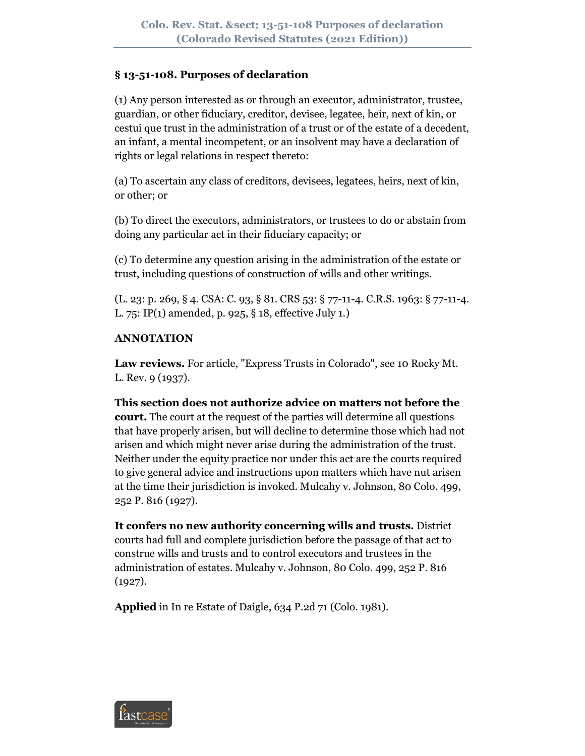## **§ 13-51-108. Purposes of declaration**

(1) Any person interested as or through an executor, administrator, trustee, guardian, or other fiduciary, creditor, devisee, legatee, heir, next of kin, or cestui que trust in the administration of a trust or of the estate of a decedent, an infant, a mental incompetent, or an insolvent may have a declaration of rights or legal relations in respect thereto:

(a) To ascertain any class of creditors, devisees, legatees, heirs, next of kin, or other; or

(b) To direct the executors, administrators, or trustees to do or abstain from doing any particular act in their fiduciary capacity; or

(c) To determine any question arising in the administration of the estate or trust, including questions of construction of wills and other writings.

(L. 23: p. 269, § 4. CSA: C. 93, § 81. CRS 53: § 77-11-4. C.R.S. 1963: § 77-11-4. L. 75: IP(1) amended, p. 925, § 18, effective July 1.)

## **ANNOTATION**

**Law reviews.** For article, "Express Trusts in Colorado", see 10 Rocky Mt. L. Rev. 9 (1937).

**This section does not authorize advice on matters not before the court.** The court at the request of the parties will determine all questions that have properly arisen, but will decline to determine those which had not arisen and which might never arise during the administration of the trust. Neither under the equity practice nor under this act are the courts required to give general advice and instructions upon matters which have nut arisen at the time their jurisdiction is invoked. Mulcahy v. Johnson, 80 Colo. 499, 252 P. 816 (1927).

**It confers no new authority concerning wills and trusts.** District courts had full and complete jurisdiction before the passage of that act to construe wills and trusts and to control executors and trustees in the administration of estates. Mulcahy v. Johnson, 80 Colo. 499, 252 P. 816 (1927).

**Applied** in In re Estate of Daigle, 634 P.2d 71 (Colo. 1981).

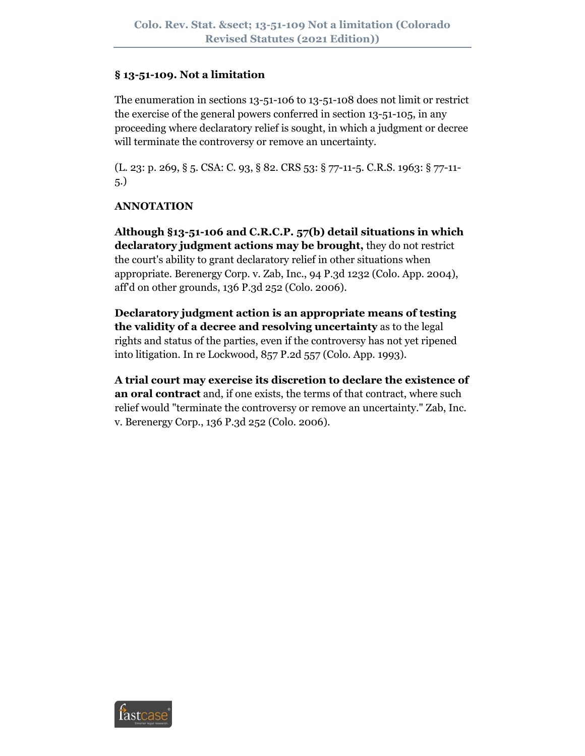#### **§ 13-51-109. Not a limitation**

The enumeration in sections 13-51-106 to 13-51-108 does not limit or restrict the exercise of the general powers conferred in section 13-51-105, in any proceeding where declaratory relief is sought, in which a judgment or decree will terminate the controversy or remove an uncertainty.

(L. 23: p. 269, § 5. CSA: C. 93, § 82. CRS 53: § 77-11-5. C.R.S. 1963: § 77-11- 5.)

## **ANNOTATION**

**Although §13-51-106 and C.R.C.P. 57(b) detail situations in which declaratory judgment actions may be brought,** they do not restrict the court's ability to grant declaratory relief in other situations when appropriate. Berenergy Corp. v. Zab, Inc., 94 P.3d 1232 (Colo. App. 2004), aff'd on other grounds, 136 P.3d 252 (Colo. 2006).

**Declaratory judgment action is an appropriate means of testing the validity of a decree and resolving uncertainty** as to the legal rights and status of the parties, even if the controversy has not yet ripened into litigation. In re Lockwood, 857 P.2d 557 (Colo. App. 1993).

**A trial court may exercise its discretion to declare the existence of an oral contract** and, if one exists, the terms of that contract, where such relief would "terminate the controversy or remove an uncertainty." Zab, Inc. v. Berenergy Corp., 136 P.3d 252 (Colo. 2006).

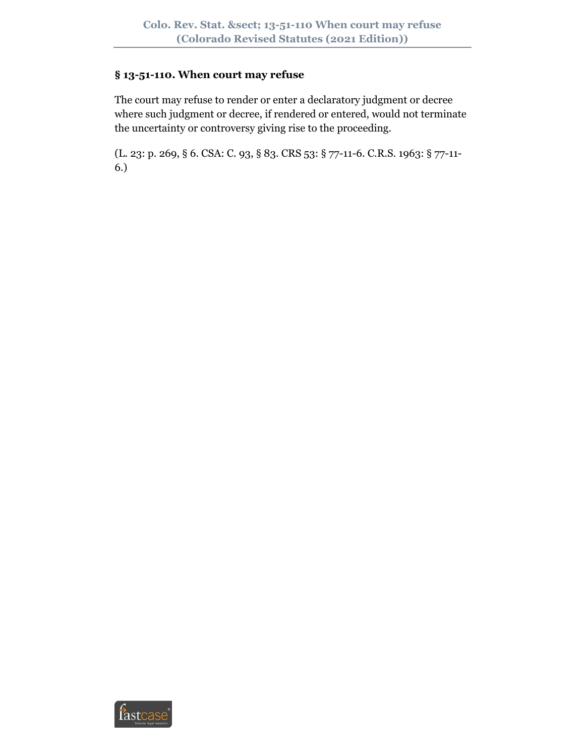#### **§ 13-51-110. When court may refuse**

The court may refuse to render or enter a declaratory judgment or decree where such judgment or decree, if rendered or entered, would not terminate the uncertainty or controversy giving rise to the proceeding.

(L. 23: p. 269, § 6. CSA: C. 93, § 83. CRS 53: § 77-11-6. C.R.S. 1963: § 77-11- 6.)

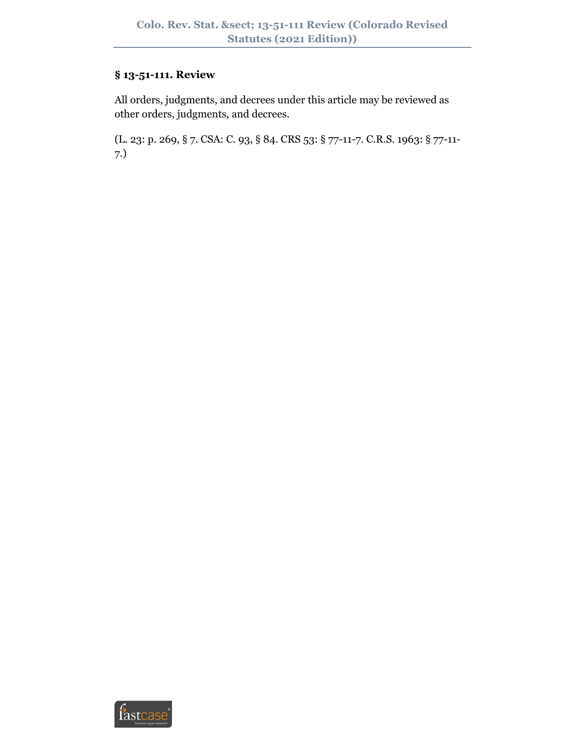# **§ 13-51-111. Review**

All orders, judgments, and decrees under this article may be reviewed as other orders, judgments, and decrees.

(L. 23: p. 269, § 7. CSA: C. 93, § 84. CRS 53: § 77-11-7. C.R.S. 1963: § 77-11- 7.)

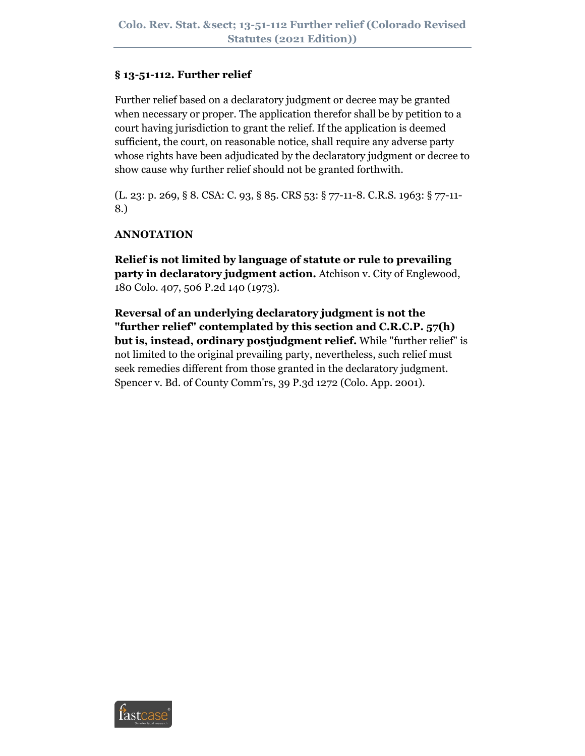#### **§ 13-51-112. Further relief**

Further relief based on a declaratory judgment or decree may be granted when necessary or proper. The application therefor shall be by petition to a court having jurisdiction to grant the relief. If the application is deemed sufficient, the court, on reasonable notice, shall require any adverse party whose rights have been adjudicated by the declaratory judgment or decree to show cause why further relief should not be granted forthwith.

(L. 23: p. 269, § 8. CSA: C. 93, § 85. CRS 53: § 77-11-8. C.R.S. 1963: § 77-11- 8.)

## **ANNOTATION**

**Relief is not limited by language of statute or rule to prevailing party in declaratory judgment action.** Atchison v. City of Englewood, 180 Colo. 407, 506 P.2d 140 (1973).

**Reversal of an underlying declaratory judgment is not the "further relief" contemplated by this section and C.R.C.P. 57(h) but is, instead, ordinary postjudgment relief.** While "further relief" is not limited to the original prevailing party, nevertheless, such relief must seek remedies different from those granted in the declaratory judgment. Spencer v. Bd. of County Comm'rs, 39 P.3d 1272 (Colo. App. 2001).

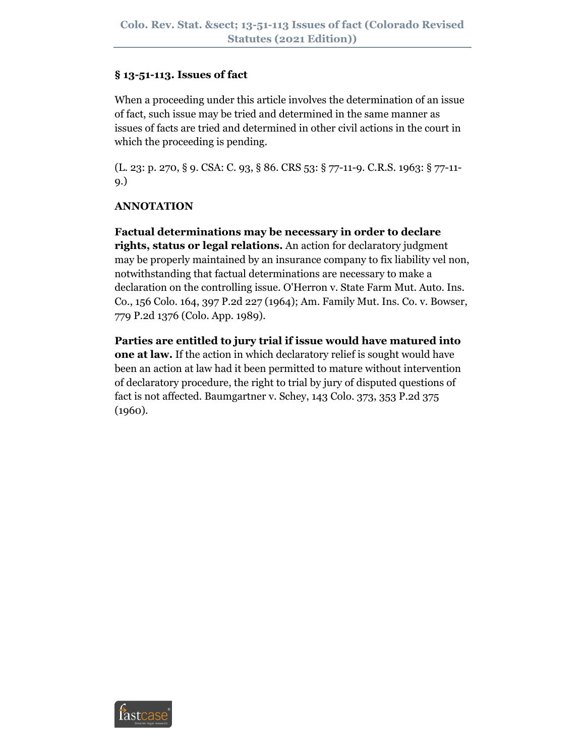#### **§ 13-51-113. Issues of fact**

When a proceeding under this article involves the determination of an issue of fact, such issue may be tried and determined in the same manner as issues of facts are tried and determined in other civil actions in the court in which the proceeding is pending.

(L. 23: p. 270, § 9. CSA: C. 93, § 86. CRS 53: § 77-11-9. C.R.S. 1963: § 77-11- 9.)

## **ANNOTATION**

**Factual determinations may be necessary in order to declare rights, status or legal relations.** An action for declaratory judgment may be properly maintained by an insurance company to fix liability vel non, notwithstanding that factual determinations are necessary to make a declaration on the controlling issue. O'Herron v. State Farm Mut. Auto. Ins. Co., 156 Colo. 164, 397 P.2d 227 (1964); Am. Family Mut. Ins. Co. v. Bowser, 779 P.2d 1376 (Colo. App. 1989).

**Parties are entitled to jury trial if issue would have matured into one at law.** If the action in which declaratory relief is sought would have been an action at law had it been permitted to mature without intervention of declaratory procedure, the right to trial by jury of disputed questions of fact is not affected. Baumgartner v. Schey, 143 Colo. 373, 353 P.2d 375 (1960).

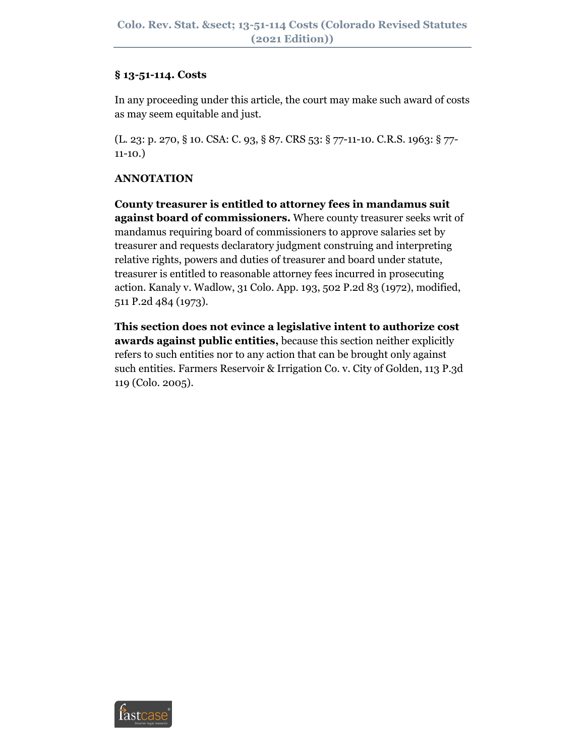#### **§ 13-51-114. Costs**

In any proceeding under this article, the court may make such award of costs as may seem equitable and just.

(L. 23: p. 270, § 10. CSA: C. 93, § 87. CRS 53: § 77-11-10. C.R.S. 1963: § 77- 11-10.)

## **ANNOTATION**

**County treasurer is entitled to attorney fees in mandamus suit against board of commissioners.** Where county treasurer seeks writ of mandamus requiring board of commissioners to approve salaries set by treasurer and requests declaratory judgment construing and interpreting relative rights, powers and duties of treasurer and board under statute, treasurer is entitled to reasonable attorney fees incurred in prosecuting action. Kanaly v. Wadlow, 31 Colo. App. 193, 502 P.2d 83 (1972), modified, 511 P.2d 484 (1973).

**This section does not evince a legislative intent to authorize cost awards against public entities,** because this section neither explicitly refers to such entities nor to any action that can be brought only against such entities. Farmers Reservoir & Irrigation Co. v. City of Golden, 113 P.3d 119 (Colo. 2005).

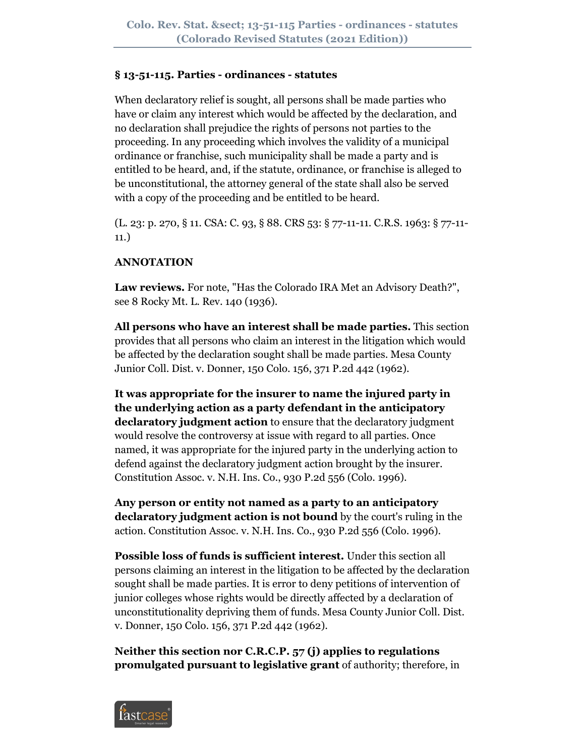#### **§ 13-51-115. Parties - ordinances - statutes**

When declaratory relief is sought, all persons shall be made parties who have or claim any interest which would be affected by the declaration, and no declaration shall prejudice the rights of persons not parties to the proceeding. In any proceeding which involves the validity of a municipal ordinance or franchise, such municipality shall be made a party and is entitled to be heard, and, if the statute, ordinance, or franchise is alleged to be unconstitutional, the attorney general of the state shall also be served with a copy of the proceeding and be entitled to be heard.

(L. 23: p. 270, § 11. CSA: C. 93, § 88. CRS 53: § 77-11-11. C.R.S. 1963: § 77-11- 11.)

# **ANNOTATION**

**Law reviews.** For note, "Has the Colorado IRA Met an Advisory Death?", see 8 Rocky Mt. L. Rev. 140 (1936).

**All persons who have an interest shall be made parties.** This section provides that all persons who claim an interest in the litigation which would be affected by the declaration sought shall be made parties. Mesa County Junior Coll. Dist. v. Donner, 150 Colo. 156, 371 P.2d 442 (1962).

**It was appropriate for the insurer to name the injured party in the underlying action as a party defendant in the anticipatory declaratory judgment action** to ensure that the declaratory judgment would resolve the controversy at issue with regard to all parties. Once named, it was appropriate for the injured party in the underlying action to defend against the declaratory judgment action brought by the insurer. Constitution Assoc. v. N.H. Ins. Co., 930 P.2d 556 (Colo. 1996).

**Any person or entity not named as a party to an anticipatory declaratory judgment action is not bound** by the court's ruling in the action. Constitution Assoc. v. N.H. Ins. Co., 930 P.2d 556 (Colo. 1996).

**Possible loss of funds is sufficient interest.** Under this section all persons claiming an interest in the litigation to be affected by the declaration sought shall be made parties. It is error to deny petitions of intervention of junior colleges whose rights would be directly affected by a declaration of unconstitutionality depriving them of funds. Mesa County Junior Coll. Dist. v. Donner, 150 Colo. 156, 371 P.2d 442 (1962).

**Neither this section nor C.R.C.P. 57 (j) applies to regulations promulgated pursuant to legislative grant** of authority; therefore, in